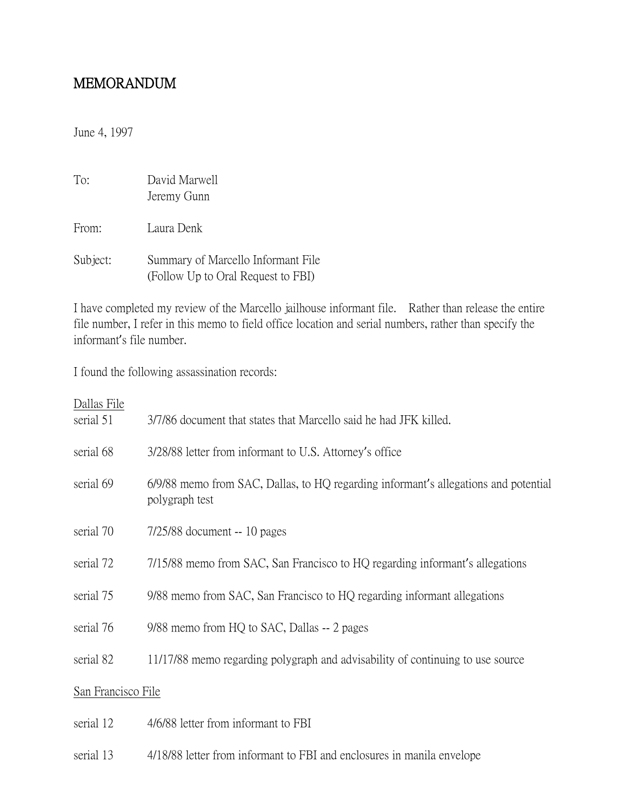## MEMORANDUM

June 4, 1997

| To:      | David Marwell<br>Jeremy Gunn                                             |
|----------|--------------------------------------------------------------------------|
| From:    | Laura Denk                                                               |
| Subject: | Summary of Marcello Informant File<br>(Follow Up to Oral Request to FBI) |

I have completed my review of the Marcello jailhouse informant file. Rather than release the entire file number, I refer in this memo to field office location and serial numbers, rather than specify the informant's file number.

I found the following assassination records:

| Dallas File        |                                                                                                       |
|--------------------|-------------------------------------------------------------------------------------------------------|
| serial 51          | 3/7/86 document that states that Marcello said he had JFK killed.                                     |
| serial 68          | 3/28/88 letter from informant to U.S. Attorney's office                                               |
| serial 69          | 6/9/88 memo from SAC, Dallas, to HQ regarding informant's allegations and potential<br>polygraph test |
| serial 70          | $7/25/88$ document $-10$ pages                                                                        |
| serial 72          | 7/15/88 memo from SAC, San Francisco to HQ regarding informant's allegations                          |
| serial 75          | 9/88 memo from SAC, San Francisco to HQ regarding informant allegations                               |
| serial 76          | 9/88 memo from HQ to SAC, Dallas -- 2 pages                                                           |
| serial 82          | 11/17/88 memo regarding polygraph and advisability of continuing to use source                        |
| San Francisco File |                                                                                                       |
| serial 12          | 4/6/88 letter from informant to FBI                                                                   |
|                    |                                                                                                       |

serial 13 4/18/88 letter from informant to FBI and enclosures in manila envelope